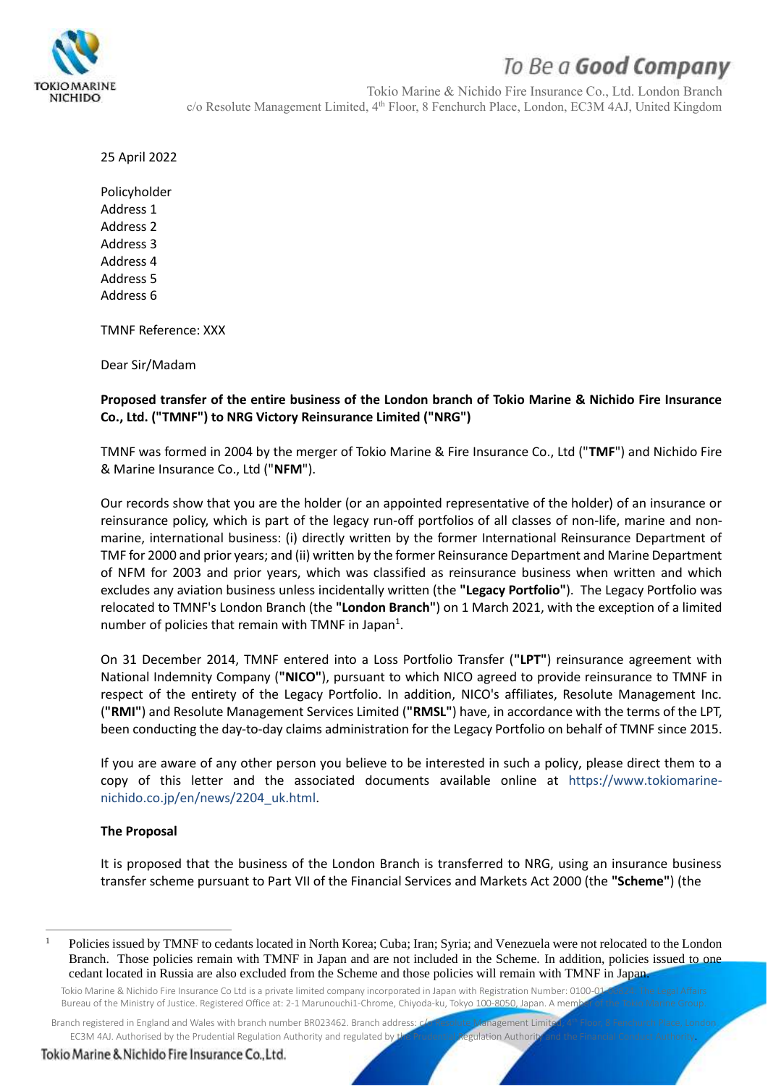

# To Be a Good Company

Tokio Marine & Nichido Fire Insurance Co., Ltd. London Branch c/o Resolute Management Limited, 4<sup>th</sup> Floor, 8 Fenchurch Place, London, EC3M 4AJ, United Kingdom

25 April 2022

Policyholder Address 1 Address 2 Address 3 Address 4 Address 5 Address 6

TMNF Reference: XXX

Dear Sir/Madam

### **Proposed transfer of the entire business of the London branch of Tokio Marine & Nichido Fire Insurance Co., Ltd. ("TMNF") to NRG Victory Reinsurance Limited ("NRG")**

TMNF was formed in 2004 by the merger of Tokio Marine & Fire Insurance Co., Ltd ("**TMF**") and Nichido Fire & Marine Insurance Co., Ltd ("**NFM**").

Our records show that you are the holder (or an appointed representative of the holder) of an insurance or reinsurance policy, which is part of the legacy run-off portfolios of all classes of non-life, marine and nonmarine, international business: (i) directly written by the former International Reinsurance Department of TMF for 2000 and prior years; and (ii) written by the former Reinsurance Department and Marine Department of NFM for 2003 and prior years, which was classified as reinsurance business when written and which excludes any aviation business unless incidentally written (the **"Legacy Portfolio"**). The Legacy Portfolio was relocated to TMNF's London Branch (the **"London Branch"**) on 1 March 2021, with the exception of a limited number of policies that remain with TMNF in Japan<sup>1</sup>.

On 31 December 2014, TMNF entered into a Loss Portfolio Transfer (**"LPT"**) reinsurance agreement with National Indemnity Company (**"NICO"**), pursuant to which NICO agreed to provide reinsurance to TMNF in respect of the entirety of the Legacy Portfolio. In addition, NICO's affiliates, Resolute Management Inc. (**"RMI"**) and Resolute Management Services Limited (**"RMSL"**) have, in accordance with the terms of the LPT, been conducting the day-to-day claims administration for the Legacy Portfolio on behalf of TMNF since 2015.

If you are aware of any other person you believe to be interested in such a policy, please direct them to a copy of this letter and the associated documents available online at https://www.tokiomarinenichido.co.jp/en/news/2204\_uk.html.

#### **The Proposal**

It is proposed that the business of the London Branch is transferred to NRG, using an insurance business transfer scheme pursuant to Part VII of the Financial Services and Markets Act 2000 (the **"Scheme"**) (the

Branch registered in England and Wales with branch number BR023462. Branch address: cla Resolute Management Limit EC3M 4AJ. Authorised by the Prudential Regulation Authority and regulated by the Prudential Regulation Authorit

Tokio Marine & Nichido Fire Insurance Co., Ltd.

<sup>&</sup>lt;sup>1</sup> Policies issued by TMNF to cedants located in North Korea; Cuba; Iran; Syria; and Venezuela were not relocated to the London Branch. Those policies remain with TMNF in Japan and are not included in the Scheme. In addition, policies issued to one cedant located in Russia are also excluded from the Scheme and those policies will remain with TMNF in Japan.

Tokio Marine & Nichido Fire Insurance Co Ltd is a private limited company incorporated in Japan with Registration Number: 0100-01 Bureau of the Ministry of Justice. Registered Office at: 2-1 Marunouchi1-Chrome, Chivoda-ku, Tokyo 100-8050, Japan. A mem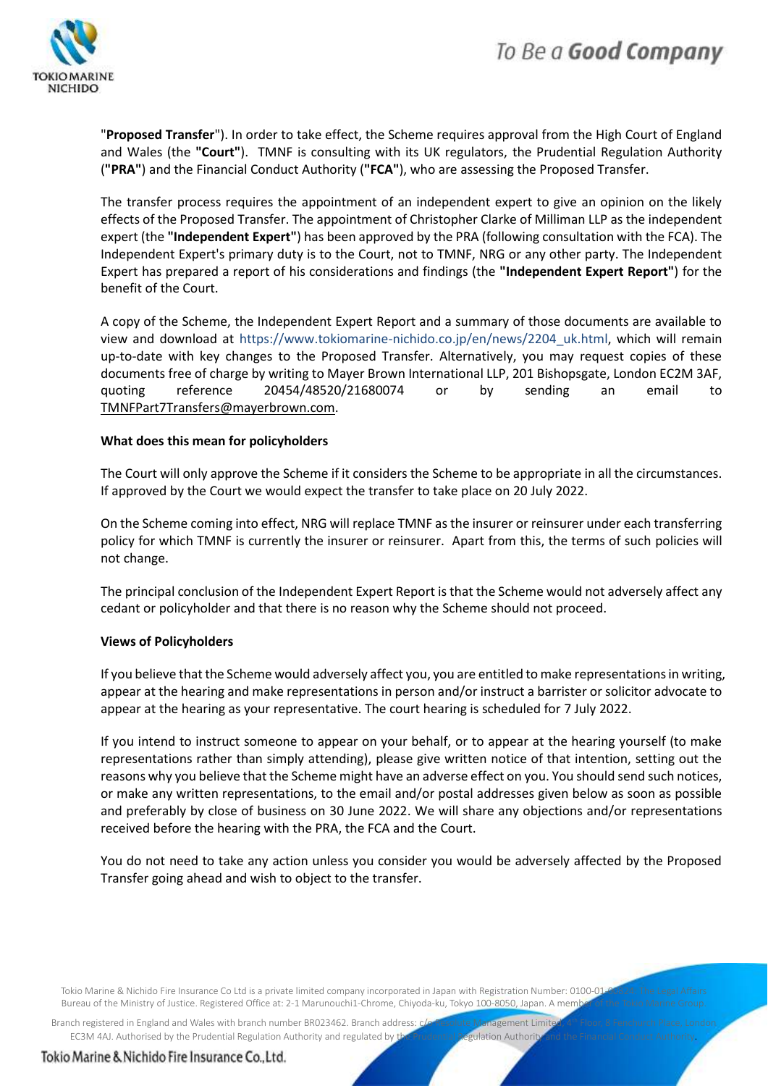

"**Proposed Transfer**"). In order to take effect, the Scheme requires approval from the High Court of England and Wales (the **"Court"**). TMNF is consulting with its UK regulators, the Prudential Regulation Authority (**"PRA"**) and the Financial Conduct Authority (**"FCA"**), who are assessing the Proposed Transfer.

The transfer process requires the appointment of an independent expert to give an opinion on the likely effects of the Proposed Transfer. The appointment of Christopher Clarke of Milliman LLP as the independent expert (the **"Independent Expert"**) has been approved by the PRA (following consultation with the FCA). The Independent Expert's primary duty is to the Court, not to TMNF, NRG or any other party. The Independent Expert has prepared a report of his considerations and findings (the **"Independent Expert Report"**) for the benefit of the Court.

A copy of the Scheme, the Independent Expert Report and a summary of those documents are available to view and download at https://www.tokiomarine-nichido.co.jp/en/news/2204\_uk.html, which will remain up-to-date with key changes to the Proposed Transfer. Alternatively, you may request copies of these documents free of charge by writing to Mayer Brown International LLP, 201 Bishopsgate, London EC2M 3AF, quoting reference 20454/48520/21680074 or by sending an email to [TMNFPart7Transfers@mayerbrown.com.](mailto:TMNFPart7Transfers@mayerbrown.com)

#### **What does this mean for policyholders**

The Court will only approve the Scheme if it considers the Scheme to be appropriate in all the circumstances. If approved by the Court we would expect the transfer to take place on 20 July 2022.

On the Scheme coming into effect, NRG will replace TMNF as the insurer or reinsurer under each transferring policy for which TMNF is currently the insurer or reinsurer. Apart from this, the terms of such policies will not change.

The principal conclusion of the Independent Expert Report is that the Scheme would not adversely affect any cedant or policyholder and that there is no reason why the Scheme should not proceed.

#### **Views of Policyholders**

If you believe that the Scheme would adversely affect you, you are entitled to make representations in writing, appear at the hearing and make representations in person and/or instruct a barrister or solicitor advocate to appear at the hearing as your representative. The court hearing is scheduled for 7 July 2022.

If you intend to instruct someone to appear on your behalf, or to appear at the hearing yourself (to make representations rather than simply attending), please give written notice of that intention, setting out the reasons why you believe that the Scheme might have an adverse effect on you. You should send such notices, or make any written representations, to the email and/or postal addresses given below as soon as possible and preferably by close of business on 30 June 2022. We will share any objections and/or representations received before the hearing with the PRA, the FCA and the Court.

You do not need to take any action unless you consider you would be adversely affected by the Proposed Transfer going ahead and wish to object to the transfer.

Tokio Marine & Nichido Fire Insurance Co Ltd is a private limited company incorporated in Japan with Registration Number: 0100-01 Bureau of the Ministry of Justice. Registered Office at: 2-1 Marunouchi1-Chrome, Chivoda-ku, Tokyo 100-8050, Japan. A meml

Branch registered in England and Wales with branch number BR023462. Branch address: c/o Resolute Management Limite EC3M 4AJ. Authorised by the Prudential Regulation Authority and regulated by the Prudential Regulation Authorit

Tokio Marine & Nichido Fire Insurance Co., Ltd.